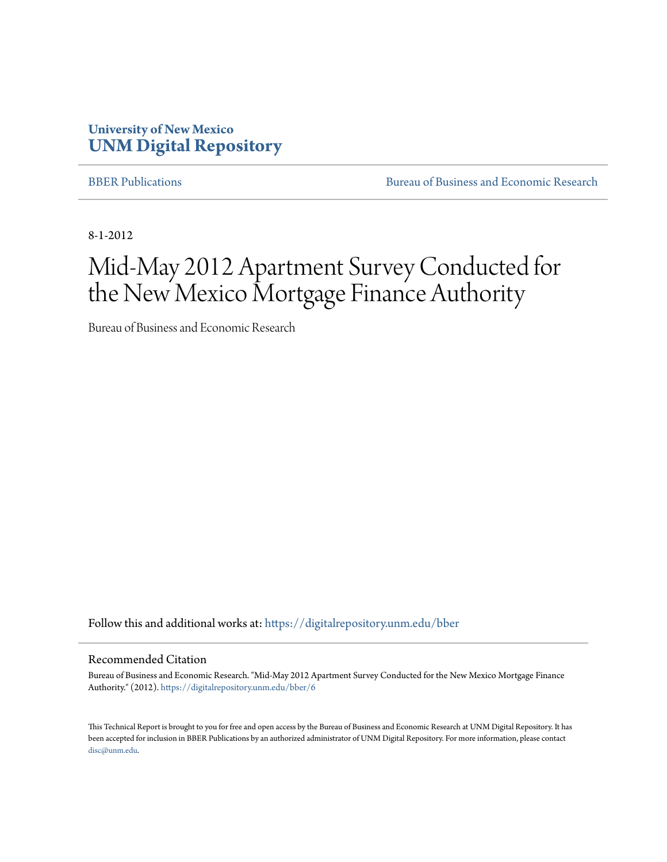### **University of New Mexico [UNM Digital Repository](https://digitalrepository.unm.edu?utm_source=digitalrepository.unm.edu%2Fbber%2F6&utm_medium=PDF&utm_campaign=PDFCoverPages)**

[BBER Publications](https://digitalrepository.unm.edu/bber?utm_source=digitalrepository.unm.edu%2Fbber%2F6&utm_medium=PDF&utm_campaign=PDFCoverPages) **BUREAU SERVICES** [Bureau of Business and Economic Research](https://digitalrepository.unm.edu/business_economic_research?utm_source=digitalrepository.unm.edu%2Fbber%2F6&utm_medium=PDF&utm_campaign=PDFCoverPages)

8-1-2012

# Mid-May 2012 Apartment Survey Conducted for the New Mexico Mortgage Finance Authority

Bureau of Business and Economic Research

Follow this and additional works at: [https://digitalrepository.unm.edu/bber](https://digitalrepository.unm.edu/bber?utm_source=digitalrepository.unm.edu%2Fbber%2F6&utm_medium=PDF&utm_campaign=PDFCoverPages)

#### Recommended Citation

Bureau of Business and Economic Research. "Mid-May 2012 Apartment Survey Conducted for the New Mexico Mortgage Finance Authority." (2012). [https://digitalrepository.unm.edu/bber/6](https://digitalrepository.unm.edu/bber/6?utm_source=digitalrepository.unm.edu%2Fbber%2F6&utm_medium=PDF&utm_campaign=PDFCoverPages)

This Technical Report is brought to you for free and open access by the Bureau of Business and Economic Research at UNM Digital Repository. It has been accepted for inclusion in BBER Publications by an authorized administrator of UNM Digital Repository. For more information, please contact [disc@unm.edu](mailto:disc@unm.edu).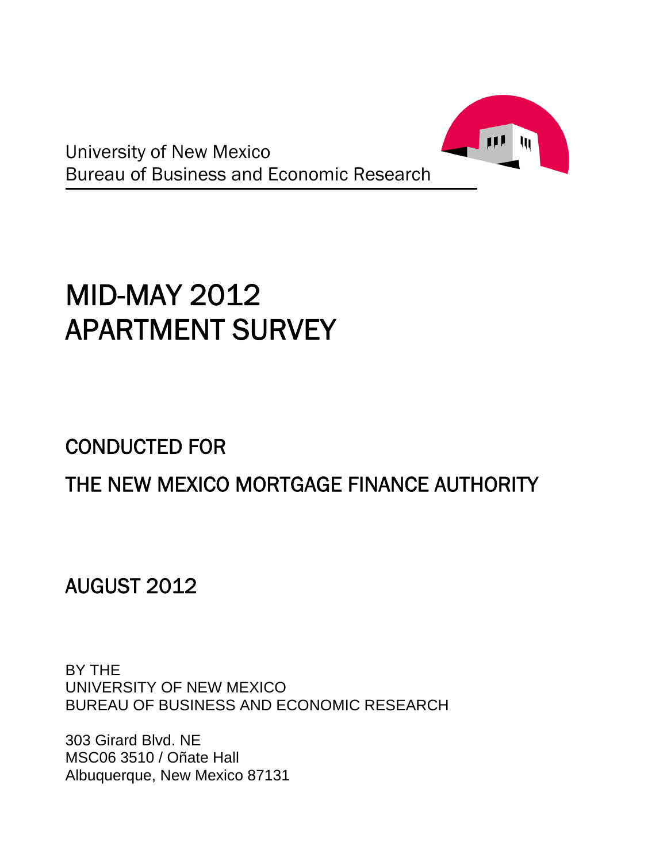

University of New Mexico Bureau of Business and Economic Research

# MID-MAY 2012 APARTMENT SURVEY

# CONDUCTED FOR

# THE NEW MEXICO MORTGAGE FINANCE AUTHORITY

AUGUST 2012

BY THE UNIVERSITY OF NEW MEXICO BUREAU OF BUSINESS AND ECONOMIC RESEARCH

303 Girard Blvd. NE MSC06 3510 / Oñate Hall Albuquerque, New Mexico 87131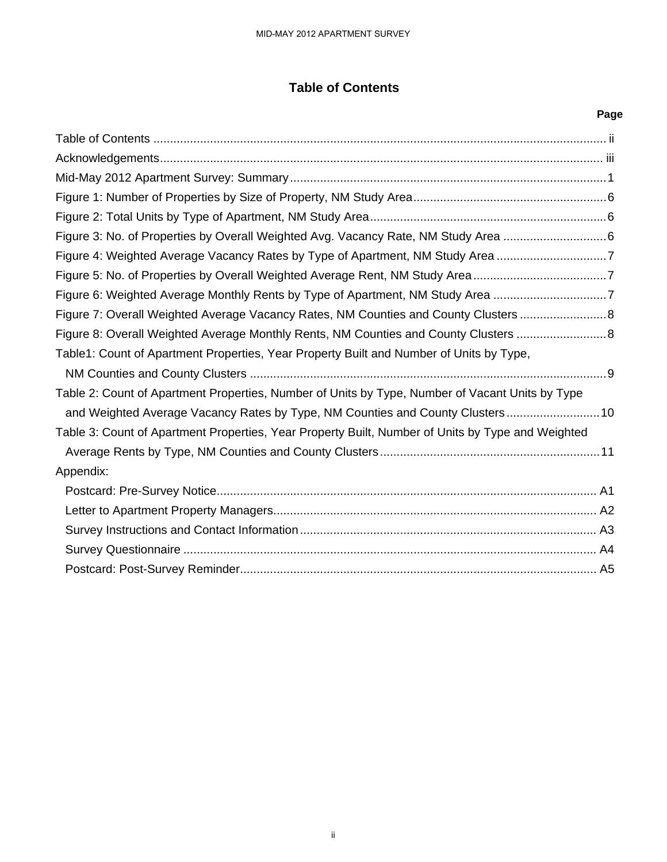### **Table of Contents**

| <b>Table of Contents</b>                                                                                                                                                            |      |
|-------------------------------------------------------------------------------------------------------------------------------------------------------------------------------------|------|
|                                                                                                                                                                                     | Page |
|                                                                                                                                                                                     |      |
|                                                                                                                                                                                     |      |
|                                                                                                                                                                                     |      |
|                                                                                                                                                                                     |      |
|                                                                                                                                                                                     |      |
| Figure 3: No. of Properties by Overall Weighted Avg. Vacancy Rate, NM Study Area 6                                                                                                  |      |
| Figure 4: Weighted Average Vacancy Rates by Type of Apartment, NM Study Area 7                                                                                                      |      |
| Figure 5: No. of Properties by Overall Weighted Average Rent, NM Study Area7                                                                                                        |      |
| Figure 6: Weighted Average Monthly Rents by Type of Apartment, NM Study Area 7                                                                                                      |      |
| Figure 7: Overall Weighted Average Vacancy Rates, NM Counties and County Clusters 8                                                                                                 |      |
| Figure 8: Overall Weighted Average Monthly Rents, NM Counties and County Clusters                                                                                                   |      |
| Table1: Count of Apartment Properties, Year Property Built and Number of Units by Type,                                                                                             |      |
| Table 2: Count of Apartment Properties, Number of Units by Type, Number of Vacant Units by Type                                                                                     |      |
| and Weighted Average Vacancy Rates by Type, NM Counties and County Clusters 10<br>Table 3: Count of Apartment Properties, Year Property Built, Number of Units by Type and Weighted |      |
| Appendix:                                                                                                                                                                           |      |
|                                                                                                                                                                                     |      |
|                                                                                                                                                                                     |      |
|                                                                                                                                                                                     |      |
|                                                                                                                                                                                     |      |
|                                                                                                                                                                                     |      |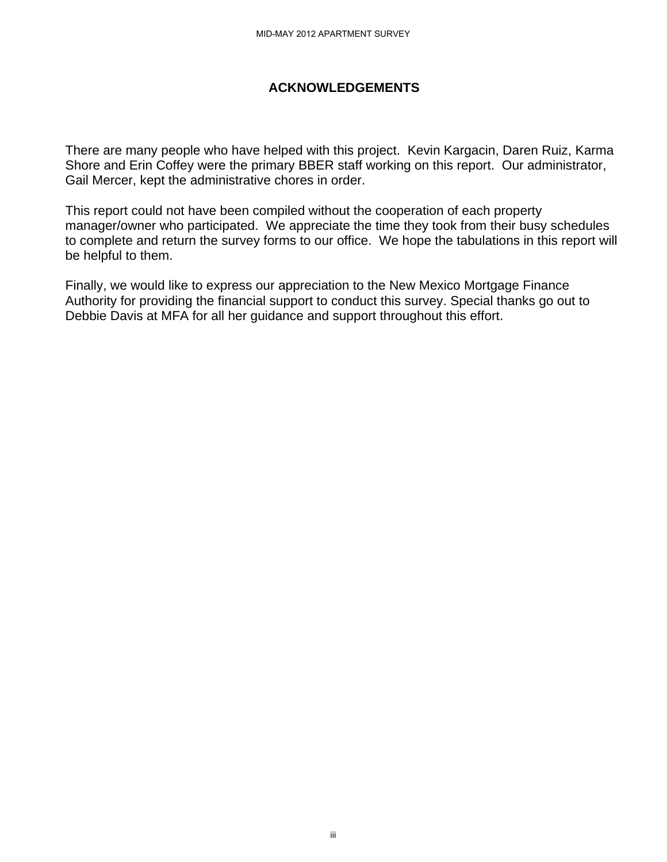#### **ACKNOWLEDGEMENTS**

There are many people who have helped with this project. Kevin Kargacin, Daren Ruiz, Karma Shore and Erin Coffey were the primary BBER staff working on this report. Our administrator, Gail Mercer, kept the administrative chores in order.

This report could not have been compiled without the cooperation of each property manager/owner who participated. We appreciate the time they took from their busy schedules to complete and return the survey forms to our office. We hope the tabulations in this report will be helpful to them. MID-MAY 2012 APARTMENT SURVEY<br> **ACKNOWLEDGEMENT**<br>
belped with this project. If<br>
inimary BBER staff working<br>
ve chores in order.<br>
We appreciate the time that<br>
forms to our office. We h<br>
our appreciation to the New<br>
our appr

Finally, we would like to express our appreciation to the New Mexico Mortgage Finance Authority for providing the financial support to conduct this survey. Special thanks go out to Debbie Davis at MFA for all her guidance and support throughout this effort.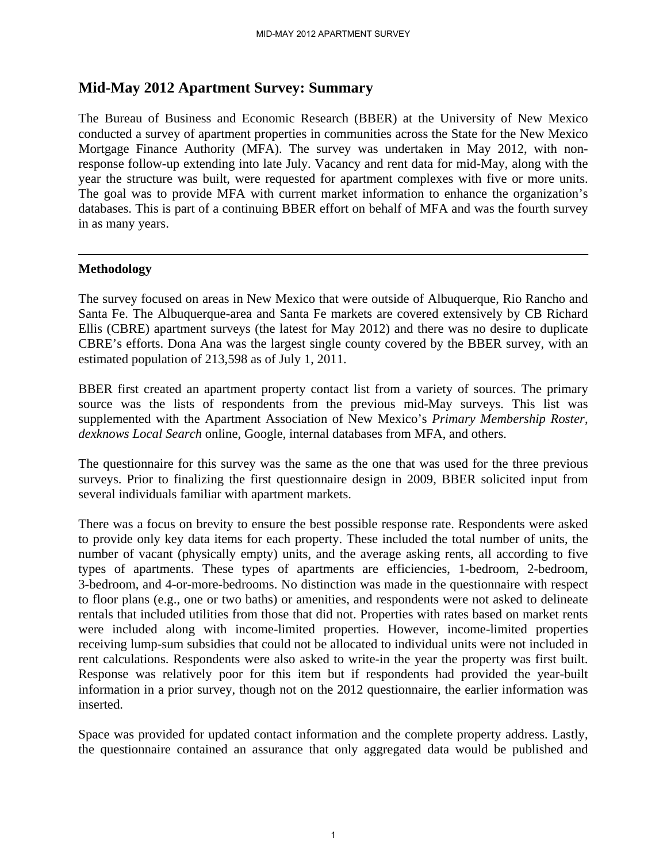### **Mid-May 2012 Apartment Survey: Summary**

The Bureau of Business and Economic Research (BBER) at the University of New Mexico conducted a survey of apartment properties in communities across the State for the New Mexico Mortgage Finance Authority (MFA). The survey was undertaken in May 2012, with nonresponse follow-up extending into late July. Vacancy and rent data for mid-May, along with the year the structure was built, were requested for apartment complexes with five or more units. The goal was to provide MFA with current market information to enhance the organization's databases. This is part of a continuing BBER effort on behalf of MFA and was the fourth survey in as many years.

#### **Methodology**

The survey focused on areas in New Mexico that were outside of Albuquerque, Rio Rancho and Santa Fe. The Albuquerque-area and Santa Fe markets are covered extensively by CB Richard Ellis (CBRE) apartment surveys (the latest for May 2012) and there was no desire to duplicate CBRE's efforts. Dona Ana was the largest single county covered by the BBER survey, with an estimated population of 213,598 as of July 1, 2011.

BBER first created an apartment property contact list from a variety of sources. The primary source was the lists of respondents from the previous mid-May surveys. This list was supplemented with the Apartment Association of New Mexico's *Primary Membership Roster*, *dexknows Local Search* online, Google, internal databases from MFA, and others.

The questionnaire for this survey was the same as the one that was used for the three previous surveys. Prior to finalizing the first questionnaire design in 2009, BBER solicited input from several individuals familiar with apartment markets.

There was a focus on brevity to ensure the best possible response rate. Respondents were asked to provide only key data items for each property. These included the total number of units, the number of vacant (physically empty) units, and the average asking rents, all according to five types of apartments. These types of apartments are efficiencies, 1-bedroom, 2-bedroom, 3-bedroom, and 4-or-more-bedrooms. No distinction was made in the questionnaire with respect to floor plans (e.g., one or two baths) or amenities, and respondents were not asked to delineate rentals that included utilities from those that did not. Properties with rates based on market rents were included along with income-limited properties. However, income-limited properties receiving lump-sum subsidies that could not be allocated to individual units were not included in rent calculations. Respondents were also asked to write-in the year the property was first built. Response was relatively poor for this item but if respondents had provided the year-built information in a prior survey, though not on the 2012 questionnaire, the earlier information was inserted.

Space was provided for updated contact information and the complete property address. Lastly, the questionnaire contained an assurance that only aggregated data would be published and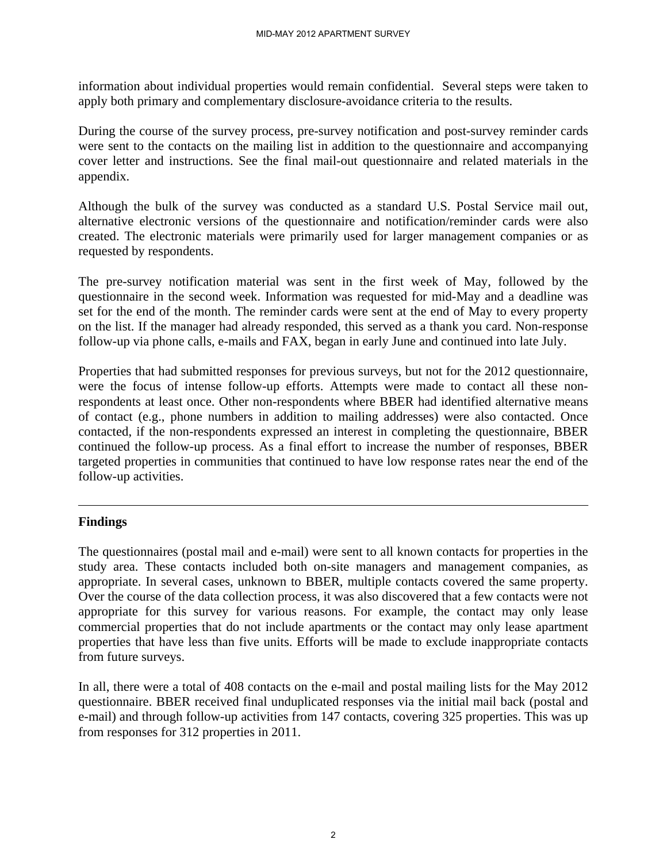information about individual properties would remain confidential. Several steps were taken to apply both primary and complementary disclosure-avoidance criteria to the results.

During the course of the survey process, pre-survey notification and post-survey reminder cards were sent to the contacts on the mailing list in addition to the questionnaire and accompanying cover letter and instructions. See the final mail-out questionnaire and related materials in the appendix.

Although the bulk of the survey was conducted as a standard U.S. Postal Service mail out, alternative electronic versions of the questionnaire and notification/reminder cards were also created. The electronic materials were primarily used for larger management companies or as requested by respondents.

The pre-survey notification material was sent in the first week of May, followed by the questionnaire in the second week. Information was requested for mid-May and a deadline was set for the end of the month. The reminder cards were sent at the end of May to every property on the list. If the manager had already responded, this served as a thank you card. Non-response follow-up via phone calls, e-mails and FAX, began in early June and continued into late July.

Properties that had submitted responses for previous surveys, but not for the 2012 questionnaire, were the focus of intense follow-up efforts. Attempts were made to contact all these nonrespondents at least once. Other non-respondents where BBER had identified alternative means of contact (e.g., phone numbers in addition to mailing addresses) were also contacted. Once contacted, if the non-respondents expressed an interest in completing the questionnaire, BBER continued the follow-up process. As a final effort to increase the number of responses, BBER targeted properties in communities that continued to have low response rates near the end of the follow-up activities.

#### **Findings**

The questionnaires (postal mail and e-mail) were sent to all known contacts for properties in the study area. These contacts included both on-site managers and management companies, as appropriate. In several cases, unknown to BBER, multiple contacts covered the same property. Over the course of the data collection process, it was also discovered that a few contacts were not appropriate for this survey for various reasons. For example, the contact may only lease commercial properties that do not include apartments or the contact may only lease apartment properties that have less than five units. Efforts will be made to exclude inappropriate contacts from future surveys.

In all, there were a total of 408 contacts on the e-mail and postal mailing lists for the May 2012 questionnaire. BBER received final unduplicated responses via the initial mail back (postal and e-mail) and through follow-up activities from 147 contacts, covering 325 properties. This was up from responses for 312 properties in 2011.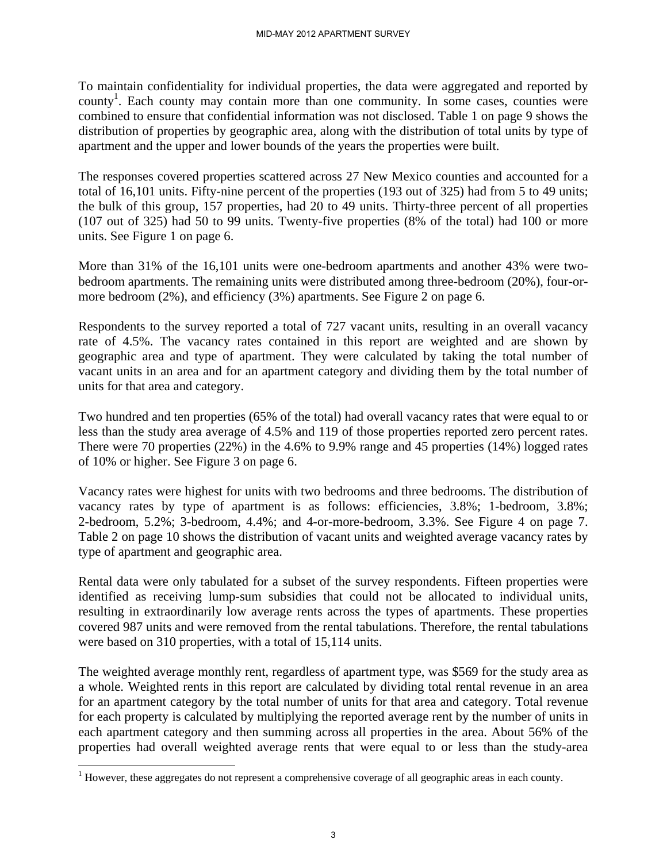To maintain confidentiality for individual properties, the data were aggregated and reported by county<sup>1</sup>. Each county may contain more than one community. In some cases, counties were combined to ensure that confidential information was not disclosed. Table 1 on page 9 shows the distribution of properties by geographic area, along with the distribution of total units by type of apartment and the upper and lower bounds of the years the properties were built.

The responses covered properties scattered across 27 New Mexico counties and accounted for a total of 16,101 units. Fifty-nine percent of the properties (193 out of 325) had from 5 to 49 units; the bulk of this group, 157 properties, had 20 to 49 units. Thirty-three percent of all properties (107 out of 325) had 50 to 99 units. Twenty-five properties (8% of the total) had 100 or more units. See Figure 1 on page 6.

More than 31% of the 16,101 units were one-bedroom apartments and another 43% were twobedroom apartments. The remaining units were distributed among three-bedroom (20%), four-ormore bedroom (2%), and efficiency (3%) apartments. See Figure 2 on page 6.

Respondents to the survey reported a total of 727 vacant units, resulting in an overall vacancy rate of 4.5%. The vacancy rates contained in this report are weighted and are shown by geographic area and type of apartment. They were calculated by taking the total number of vacant units in an area and for an apartment category and dividing them by the total number of units for that area and category.

Two hundred and ten properties (65% of the total) had overall vacancy rates that were equal to or less than the study area average of 4.5% and 119 of those properties reported zero percent rates. There were 70 properties (22%) in the 4.6% to 9.9% range and 45 properties (14%) logged rates of 10% or higher. See Figure 3 on page 6.

Vacancy rates were highest for units with two bedrooms and three bedrooms. The distribution of vacancy rates by type of apartment is as follows: efficiencies, 3.8%; 1-bedroom, 3.8%; 2-bedroom, 5.2%; 3-bedroom, 4.4%; and 4-or-more-bedroom, 3.3%. See Figure 4 on page 7. Table 2 on page 10 shows the distribution of vacant units and weighted average vacancy rates by type of apartment and geographic area.

Rental data were only tabulated for a subset of the survey respondents. Fifteen properties were identified as receiving lump-sum subsidies that could not be allocated to individual units, resulting in extraordinarily low average rents across the types of apartments. These properties covered 987 units and were removed from the rental tabulations. Therefore, the rental tabulations were based on 310 properties, with a total of 15,114 units.

The weighted average monthly rent, regardless of apartment type, was \$569 for the study area as a whole. Weighted rents in this report are calculated by dividing total rental revenue in an area for an apartment category by the total number of units for that area and category. Total revenue for each property is calculated by multiplying the reported average rent by the number of units in each apartment category and then summing across all properties in the area. About 56% of the properties had overall weighted average rents that were equal to or less than the study-area

 $\overline{a}$ 

 $1$  However, these aggregates do not represent a comprehensive coverage of all geographic areas in each county.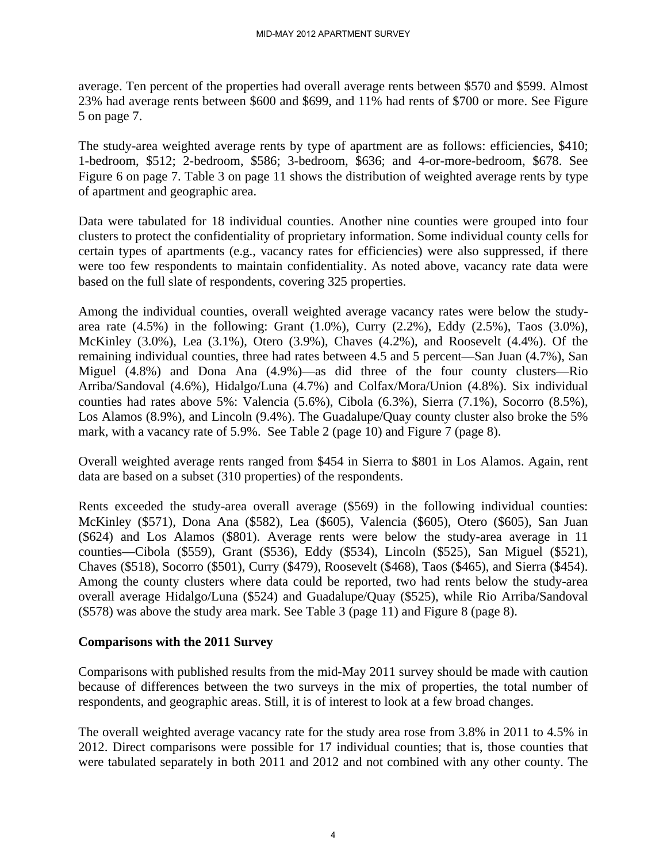average. Ten percent of the properties had overall average rents between \$570 and \$599. Almost 23% had average rents between \$600 and \$699, and 11% had rents of \$700 or more. See Figure 5 on page 7.

The study-area weighted average rents by type of apartment are as follows: efficiencies, \$410; 1-bedroom, \$512; 2-bedroom, \$586; 3-bedroom, \$636; and 4-or-more-bedroom, \$678. See Figure 6 on page 7. Table 3 on page 11 shows the distribution of weighted average rents by type of apartment and geographic area.

Data were tabulated for 18 individual counties. Another nine counties were grouped into four clusters to protect the confidentiality of proprietary information. Some individual county cells for certain types of apartments (e.g., vacancy rates for efficiencies) were also suppressed, if there were too few respondents to maintain confidentiality. As noted above, vacancy rate data were based on the full slate of respondents, covering 325 properties.

Among the individual counties, overall weighted average vacancy rates were below the studyarea rate (4.5%) in the following: Grant (1.0%), Curry (2.2%), Eddy (2.5%), Taos (3.0%), McKinley (3.0%), Lea (3.1%), Otero (3.9%), Chaves (4.2%), and Roosevelt (4.4%). Of the remaining individual counties, three had rates between 4.5 and 5 percent—San Juan (4.7%), San Miguel (4.8%) and Dona Ana (4.9%)—as did three of the four county clusters—Rio Arriba/Sandoval (4.6%), Hidalgo/Luna (4.7%) and Colfax/Mora/Union (4.8%). Six individual counties had rates above 5%: Valencia (5.6%), Cibola (6.3%), Sierra (7.1%), Socorro (8.5%), Los Alamos (8.9%), and Lincoln (9.4%). The Guadalupe/Quay county cluster also broke the 5% mark, with a vacancy rate of 5.9%. See Table 2 (page 10) and Figure 7 (page 8).

Overall weighted average rents ranged from \$454 in Sierra to \$801 in Los Alamos. Again, rent data are based on a subset (310 properties) of the respondents.

Rents exceeded the study-area overall average (\$569) in the following individual counties: McKinley (\$571), Dona Ana (\$582), Lea (\$605), Valencia (\$605), Otero (\$605), San Juan (\$624) and Los Alamos (\$801). Average rents were below the study-area average in 11 counties—Cibola (\$559), Grant (\$536), Eddy (\$534), Lincoln (\$525), San Miguel (\$521), Chaves (\$518), Socorro (\$501), Curry (\$479), Roosevelt (\$468), Taos (\$465), and Sierra (\$454). Among the county clusters where data could be reported, two had rents below the study-area overall average Hidalgo/Luna (\$524) and Guadalupe/Quay (\$525), while Rio Arriba/Sandoval (\$578) was above the study area mark. See Table 3 (page 11) and Figure 8 (page 8).

#### **Comparisons with the 2011 Survey**

Comparisons with published results from the mid-May 2011 survey should be made with caution because of differences between the two surveys in the mix of properties, the total number of respondents, and geographic areas. Still, it is of interest to look at a few broad changes.

The overall weighted average vacancy rate for the study area rose from 3.8% in 2011 to 4.5% in 2012. Direct comparisons were possible for 17 individual counties; that is, those counties that were tabulated separately in both 2011 and 2012 and not combined with any other county. The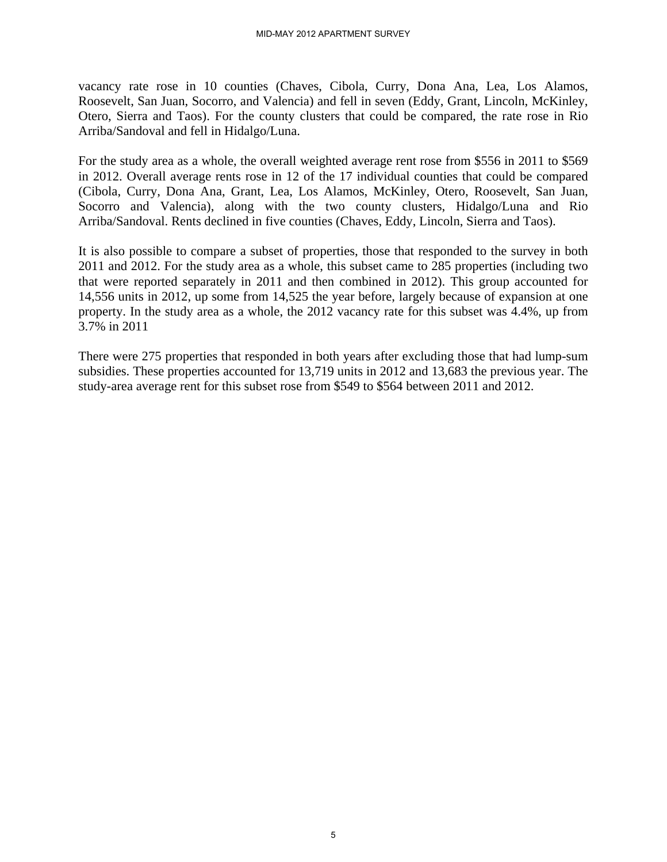vacancy rate rose in 10 counties (Chaves, Cibola, Curry, Dona Ana, Lea, Los Alamos, Roosevelt, San Juan, Socorro, and Valencia) and fell in seven (Eddy, Grant, Lincoln, McKinley, Otero, Sierra and Taos). For the county clusters that could be compared, the rate rose in Rio Arriba/Sandoval and fell in Hidalgo/Luna.

For the study area as a whole, the overall weighted average rent rose from \$556 in 2011 to \$569 in 2012. Overall average rents rose in 12 of the 17 individual counties that could be compared (Cibola, Curry, Dona Ana, Grant, Lea, Los Alamos, McKinley, Otero, Roosevelt, San Juan, Socorro and Valencia), along with the two county clusters, Hidalgo/Luna and Rio Arriba/Sandoval. Rents declined in five counties (Chaves, Eddy, Lincoln, Sierra and Taos).

It is also possible to compare a subset of properties, those that responded to the survey in both 2011 and 2012. For the study area as a whole, this subset came to 285 properties (including two that were reported separately in 2011 and then combined in 2012). This group accounted for 14,556 units in 2012, up some from 14,525 the year before, largely because of expansion at one property. In the study area as a whole, the 2012 vacancy rate for this subset was 4.4%, up from 3.7% in 2011

There were 275 properties that responded in both years after excluding those that had lump-sum subsidies. These properties accounted for 13,719 units in 2012 and 13,683 the previous year. The study-area average rent for this subset rose from \$549 to \$564 between 2011 and 2012.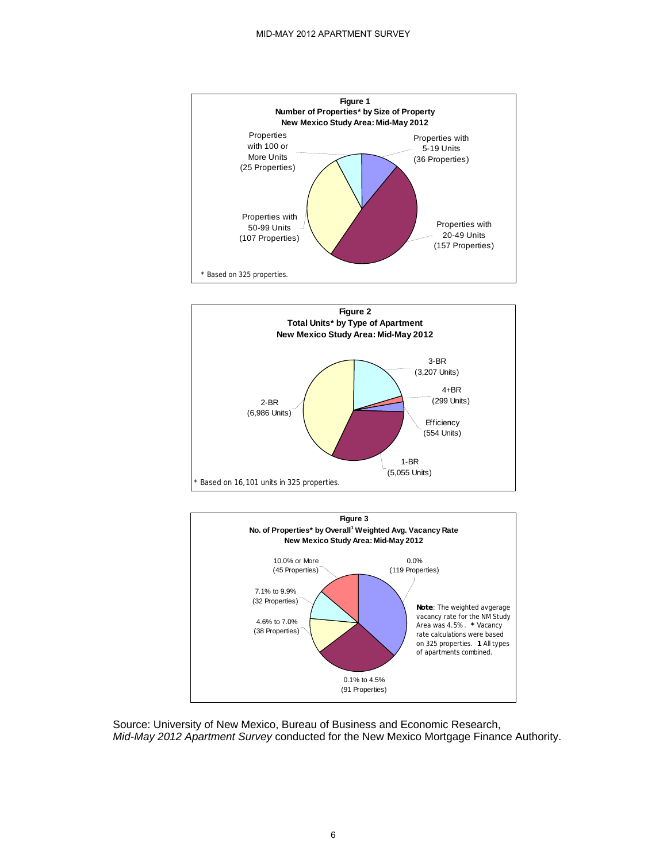





Source: University of New Mexico, Bureau of Business and Economic Research, *Mid-May 2012 Apartment Survey* conducted for the New Mexico Mortgage Finance Authority.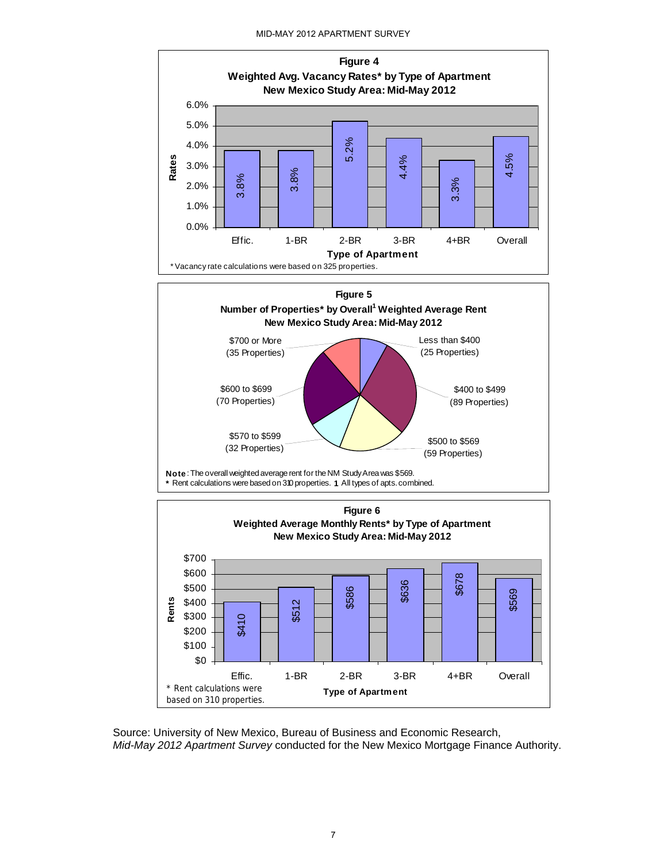MID-MAY 2012 APARTMENT SURVEY



Source: University of New Mexico, Bureau of Business and Economic Research, *Mid-May 2012 Apartment Survey* conducted for the New Mexico Mortgage Finance Authority.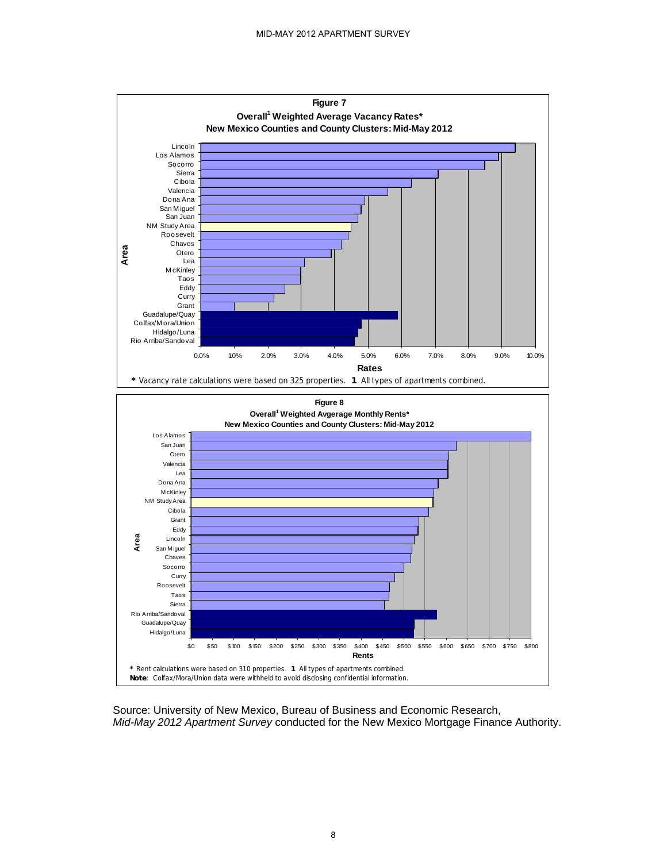

Source: University of New Mexico, Bureau of Business and Economic Research, *Mid-May 2012 Apartment Survey* conducted for the New Mexico Mortgage Finance Authority.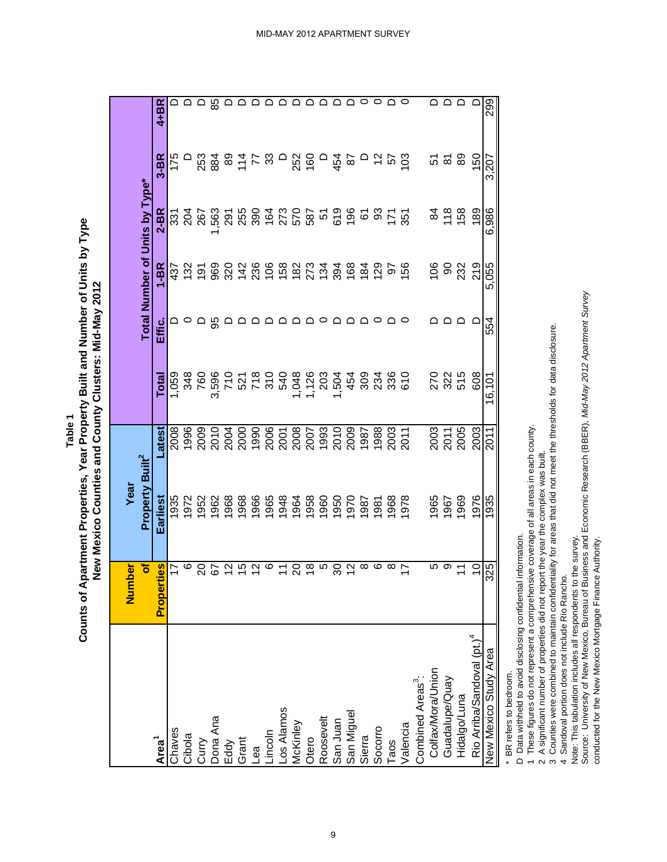**Table 1**

Counts of Apartment Properties, Year Property Built and Number of Units by Type **Counts of Apartment Properties, Year Property Built and Number of Units by Type** New Mexico Counties and County Clusters: Mid-May 2012 **New Mexico Counties and County Clusters: Mid-May 2012**

|                                                     | Number                       | Year                        |                      |                                     |        |                                     |                                |                                                                                           |          |
|-----------------------------------------------------|------------------------------|-----------------------------|----------------------|-------------------------------------|--------|-------------------------------------|--------------------------------|-------------------------------------------------------------------------------------------|----------|
|                                                     | ð                            | Property Built <sup>2</sup> |                      |                                     |        |                                     | Total Number of Units by Type* |                                                                                           |          |
| Area <sup>1</sup>                                   | <u>lies</u><br><b>Proper</b> | Earliest                    | atest                | Total                               | Effic. | $1-BR$                              | 2-BR                           | $3 - BR$                                                                                  | $4 + BR$ |
| Chaves                                              | 17                           | 1935                        | 2008                 | 1,059                               |        |                                     |                                | 175                                                                                       |          |
| Cibola                                              | ဖ                            | 972                         | 1996                 | 348                                 |        | 437<br>132                          | $\frac{35}{204}$               |                                                                                           |          |
|                                                     |                              | 952                         | 2009                 | 760                                 |        |                                     | 267                            |                                                                                           | ≏        |
| Curry<br>Dona Ana                                   | 5                            | 1962                        | 2010                 |                                     | မ္မ    | 5 8 8 5 4 8 6 6 8 9 5 7 5 8 6 6 6 7 | 1,563                          | 23 8 5 7 8                                                                                | 85       |
| Eddy                                                | $\frac{2}{3}$                | 1968                        |                      |                                     |        |                                     |                                |                                                                                           |          |
| Grant                                               | $\frac{5}{3}$                | 968                         |                      | 966<br>707 800<br>907 800<br>907 80 |        |                                     | 291<br>255                     |                                                                                           |          |
| Lea                                                 | $\frac{2}{3}$                | 966                         |                      |                                     |        |                                     |                                |                                                                                           |          |
|                                                     | ဖ                            | 1965                        |                      |                                     |        |                                     |                                |                                                                                           |          |
| Lincoln<br>Los Alamos                               |                              | 948                         |                      |                                     |        |                                     |                                |                                                                                           |          |
| McKinley                                            | 20                           | 964                         |                      |                                     |        |                                     | 387<br>272<br>287<br>287       | $\overline{a}$ $\overline{a}$ $\overline{a}$ $\overline{a}$ $\overline{a}$ $\overline{a}$ | ≏        |
| Otero                                               | $\frac{8}{1}$                | 1958                        |                      | 1,048<br>1,126<br>203               |        |                                     |                                |                                                                                           | ◒        |
| Roosevelt                                           | ယ                            | 1960                        |                      |                                     |        |                                     |                                |                                                                                           | ≏        |
| San Juan                                            | ೫                            | 050                         |                      |                                     |        |                                     |                                |                                                                                           | ▭        |
| San Miguel                                          | $\frac{2}{3}$                | 1970                        |                      | 1504<br>1504                        | ◠      |                                     |                                | $\approx$                                                                                 | ≏        |
| Sierra                                              | ∞                            | 1987                        |                      |                                     |        |                                     | 6                              |                                                                                           | $\circ$  |
| Socorro                                             |                              | 981                         |                      | 823<br>828                          |        |                                     | ္တ                             | ០៦៥១                                                                                      | 0        |
| Taos                                                | ∞                            | 968                         |                      |                                     |        | 97<br>156                           | 17<br>28                       |                                                                                           | ≏        |
| Valencia                                            | $\overline{\phantom{0}}$     | 978                         |                      | 610                                 |        |                                     |                                |                                                                                           |          |
| Combined Areas <sup>3</sup>                         |                              |                             |                      |                                     |        |                                     |                                |                                                                                           |          |
| Colfax/Mora/Union<br>Guadalupe/Quay<br>Hidalgo/Luna | ഥ                            | 965                         |                      | 270                                 |        | 106                                 | 2                              | 57                                                                                        | ≏        |
|                                                     | တ                            | 1967                        | 2003<br>2011<br>2005 | 322                                 |        | ခ                                   | 118                            | කි <b>යි</b>                                                                              | $\Omega$ |
|                                                     |                              | 1969                        |                      | 515                                 | ≏      | 232                                 | 158                            |                                                                                           |          |
| Rio Arriba/Sandoval (pt.) <sup>4</sup>              | $\tilde{c}$                  | 1976                        | 2003                 | 608                                 | ▭      | 219                                 | 189                            | 150                                                                                       | ≏        |
| New Mexico Study Area                               | 325                          | 1935                        | 2011                 | 16,101                              | 554    | 5,055                               | 6,986                          | 3,207                                                                                     | 299      |

\* BR refers to bedroom. \* BR refers to bedroom.

D Data withheld to avoid disclosing confidential information.

D Data withheld to avoid disclosing confidential information.<br>1 These figures do not represent a comprehensive coverage of all areas in each county. 1 These figures do not represent a comprehensive coverage of all areas in each county.

2 A significant number of properties did not report the year the complex was built. 2 A significant number of properties did not report the year the complex was built.

3 Counties were combined to maintain confidentiality for areas that did not meet the thresholds for data disclosure. 3 Counties were combined to maintain confidentiality for areas that did not meet the thresholds for data disclosure.

4 Sandoval portion does not include Rio Rancho. 4 Sandoval portion does not include Rio Rancho.

Note: This tabulation includes all respondents to the survey.

Note: This tabulation includes all respondents to the survey.<br>Source: University of New Mexico, Bureau of Business and Economic Research (BBER), *Mid-May 2012 Apartment Survey*<br>conducted for the New Mexico Mortgage Financ Source: University of New Mexico, Bureau of Business and Economic Research (BBER), *Mid-May 2012 Apartment Survey*  conducted for the New Mexico Mortgage Finance Authority.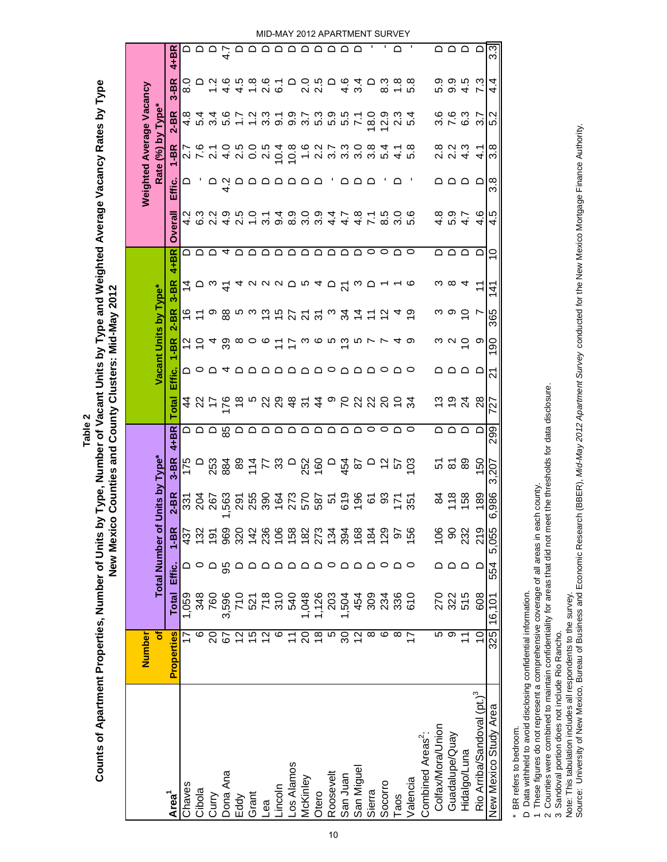|                                        | Number                    |                 |                        |                |                                                                  |                                       |                           |                             |                       |                             |                   |                               |                           |                       |               |                                 | Weighted Average Vacancy                                                                                                                                                                                                                                                                                                                                                                                                                                                                                                                                                                                             |                      |       |
|----------------------------------------|---------------------------|-----------------|------------------------|----------------|------------------------------------------------------------------|---------------------------------------|---------------------------|-----------------------------|-----------------------|-----------------------------|-------------------|-------------------------------|---------------------------|-----------------------|---------------|---------------------------------|----------------------------------------------------------------------------------------------------------------------------------------------------------------------------------------------------------------------------------------------------------------------------------------------------------------------------------------------------------------------------------------------------------------------------------------------------------------------------------------------------------------------------------------------------------------------------------------------------------------------|----------------------|-------|
|                                        | ð                         |                 | <b>Total Number of</b> |                | <b>Jnits by Type*</b>                                            |                                       |                           |                             | Vacant Units by Type* |                             |                   |                               |                           |                       |               | Rate (%) by Type*               |                                                                                                                                                                                                                                                                                                                                                                                                                                                                                                                                                                                                                      |                      |       |
| Area <sup>1</sup>                      | <b>Properties</b>         | <b>Total</b>    | Effic.                 | $1-BR$         | $2-BR$                                                           | $3 - BR$                              | $4 + BR$                  | <b>Total</b>                | Effic.                | $1 - BR$                    | $2 - BR$          | $4 + B R$<br>$3-BR$           | Overall                   |                       | Effic.        | $1 - BR$                        | $2 - BR$                                                                                                                                                                                                                                                                                                                                                                                                                                                                                                                                                                                                             | $3-BR$               | 4+BR  |
| Chaves                                 |                           | 1,059           |                        | 437            |                                                                  |                                       |                           | 4                           |                       | $\frac{1}{2}$ $\frac{1}{2}$ |                   | 4                             | ≏                         |                       |               |                                 |                                                                                                                                                                                                                                                                                                                                                                                                                                                                                                                                                                                                                      | $_{\rm 8.0}^{\circ}$ |       |
| Cibola                                 | ဖ                         | 348             |                        | 132            | 32<br>202<br>202                                                 |                                       | ם ם ם                     | ನಿ                          |                       |                             | $\frac{6}{7}$     |                               |                           | 4 6 9<br>4 6 9        |               |                                 | 4 10<br>4 10                                                                                                                                                                                                                                                                                                                                                                                                                                                                                                                                                                                                         | ▭                    |       |
| Curry                                  | 20                        | 760             |                        | $\overline{9}$ |                                                                  | 253                                   |                           | 7                           |                       |                             | တ                 | $\circ$ $\circ$ $\frac{4}{5}$ | $\cup$ $\cup$ 4           |                       |               | 2 16<br>2 16<br>2 16            |                                                                                                                                                                                                                                                                                                                                                                                                                                                                                                                                                                                                                      | $744$<br>$744$       |       |
| Dona Ana                               | 5                         | 3,596           | မ္တ                    | 969            |                                                                  |                                       | 85                        | ۶                           |                       | 4 ಜ                         |                   |                               |                           |                       | $\frac{2}{4}$ |                                 | 3<br>4<br>9<br>9<br>9                                                                                                                                                                                                                                                                                                                                                                                                                                                                                                                                                                                                |                      | 4.7   |
| Eddy                                   | 57                        | 710             |                        | 320            |                                                                  |                                       |                           |                             | 2024 20               | $\infty$ $\circ$            | စ္ထဲ က က င်္က င်္ | ᠴ                             |                           | $9.50$<br>$4.00$      |               | $0.000$<br>$4.00$               | $\ddot{ }$ :                                                                                                                                                                                                                                                                                                                                                                                                                                                                                                                                                                                                         |                      |       |
| Grant                                  | 15                        | 521             |                        | 142            |                                                                  |                                       |                           | ယ                           |                       |                             |                   |                               |                           |                       | مممممه        |                                 | $\frac{2}{3}$                                                                                                                                                                                                                                                                                                                                                                                                                                                                                                                                                                                                        | $\frac{8}{10}$       |       |
| θĝ                                     | $\frac{2}{3}$             | $\frac{8}{310}$ |                        | 236            |                                                                  |                                       |                           | ನ ಇ                         |                       | $\circ$                     |                   |                               | $\cap$ $\cap$             | 3.1                   |               | 2.5                             |                                                                                                                                                                                                                                                                                                                                                                                                                                                                                                                                                                                                                      | 0 T<br>0 O           |       |
| incoln                                 | ဖ                         |                 |                        | 106            |                                                                  |                                       |                           |                             |                       |                             |                   |                               |                           | 9.4                   |               | 10.4                            |                                                                                                                                                                                                                                                                                                                                                                                                                                                                                                                                                                                                                      |                      |       |
| -os Alamos                             | $\tilde{\mathcal{L}}$     | 540             |                        | 158            |                                                                  |                                       |                           |                             |                       |                             |                   |                               | $\Omega$                  | 0<br>0<br>0<br>0<br>0 |               | 10.8                            |                                                                                                                                                                                                                                                                                                                                                                                                                                                                                                                                                                                                                      | ≏                    |       |
| McKinley                               | ସ                         | 1,048           |                        | 182            |                                                                  |                                       |                           |                             |                       |                             |                   |                               |                           |                       |               | $\frac{6}{1}$                   |                                                                                                                                                                                                                                                                                                                                                                                                                                                                                                                                                                                                                      | 2.0                  |       |
| Otero                                  | $\frac{8}{1}$             | 1,126           |                        | 273            |                                                                  | 88 호 도 남 등 영 등 8<br>8 8 5 7 8 9 8 9 9 | a a a a a a a a a         | $\frac{4}{3}$ $\frac{9}{4}$ |                       |                             | <b>ឯភភ</b> °      |                               | ם ם ם ם                   | .<br>၁.၁              |               | 2<br>22<br>23<br>23<br>23<br>23 | $\begin{array}{l} \mathfrak{c} \mathfrak{c} \rightarrow \mathfrak{c} \rightarrow \mathfrak{c} \rightarrow \mathfrak{c} \rightarrow \mathfrak{c} \rightarrow \mathfrak{c} \rightarrow \mathfrak{c} \rightarrow \mathfrak{c} \rightarrow \mathfrak{c} \rightarrow \mathfrak{c} \rightarrow \mathfrak{c} \rightarrow \mathfrak{c} \rightarrow \mathfrak{c} \rightarrow \mathfrak{c} \rightarrow \mathfrak{c} \rightarrow \mathfrak{c} \rightarrow \mathfrak{c} \rightarrow \mathfrak{c} \rightarrow \mathfrak{c} \rightarrow \mathfrak{c} \rightarrow \mathfrak{c} \rightarrow \mathfrak{c} \rightarrow \mathfrak{c} \$ | $\frac{5}{20}$       |       |
| Roosevelt                              | ю                         | 203             |                        | $\frac{34}{3}$ |                                                                  | $\overline{\phantom{a}}$              |                           | ၜ                           |                       |                             |                   |                               |                           | $47$<br>$47$          |               |                                 |                                                                                                                                                                                                                                                                                                                                                                                                                                                                                                                                                                                                                      |                      |       |
| San Juan                               | 80                        | 1,504           |                        | 394            |                                                                  | 454                                   |                           |                             |                       |                             | $\mathcal{L}$     |                               |                           |                       |               |                                 |                                                                                                                                                                                                                                                                                                                                                                                                                                                                                                                                                                                                                      | 4.6                  |       |
| San Miguel                             | 2                         | 454             |                        | 168            | ទ្ធិកាល មាន មាន មាន មាន មាន មាន<br>ស្ថិត មាន មាន មាន មាន មាន មាន |                                       |                           | ៩ ដ ដ                       | aaaaaoaaoao           | けてるるるほうて                    | $\dot{4}$         | aaadrad <sup>2</sup> wo       |                           | $4.\overline{8}$      | ם ם ם         |                                 | $\mathbf{r}$                                                                                                                                                                                                                                                                                                                                                                                                                                                                                                                                                                                                         | 3.4                  |       |
| Sierra                                 | ∞                         | 309             |                        | $\overline{5}$ |                                                                  | $\Omega$                              | $\circ \circ \circ \circ$ |                             |                       |                             |                   |                               | $\circ \circ \circ \circ$ | $\overline{7}$        |               | .<br>೧                          | 18.0                                                                                                                                                                                                                                                                                                                                                                                                                                                                                                                                                                                                                 | ≏                    |       |
| Socorro                                | ဖ                         | 234             | 0                      | 129            |                                                                  |                                       |                           |                             |                       |                             |                   |                               |                           | 5<br>8<br>8<br>9<br>9 |               | 10 4<br>10 4                    | 12.9                                                                                                                                                                                                                                                                                                                                                                                                                                                                                                                                                                                                                 | 8.3                  |       |
| Taos                                   | ∞                         | 336             |                        | 5              |                                                                  | 5 7 8                                 |                           | ೧ = ೫                       |                       | $\overline{4}$              |                   |                               |                           |                       |               |                                 | 23                                                                                                                                                                                                                                                                                                                                                                                                                                                                                                                                                                                                                   | $\frac{8}{10}$       | ◠     |
| Valencia                               | 7                         | <b>610</b>      | 0                      | 56             |                                                                  |                                       |                           |                             |                       | ာ                           | ္                 | ဖ                             |                           | ဖ                     |               | 5.8                             | 5.4                                                                                                                                                                                                                                                                                                                                                                                                                                                                                                                                                                                                                  | œ<br>rÓ.             |       |
| Combined Areas <sup>2</sup> :          |                           |                 |                        |                |                                                                  |                                       |                           |                             |                       |                             |                   |                               |                           |                       |               |                                 |                                                                                                                                                                                                                                                                                                                                                                                                                                                                                                                                                                                                                      |                      |       |
| Colfax/Mora/Union                      | Ю                         | 270             |                        | 106            | 84                                                               |                                       |                           | ෆ                           |                       | ო                           |                   | ო                             |                           |                       |               |                                 |                                                                                                                                                                                                                                                                                                                                                                                                                                                                                                                                                                                                                      | 5.3                  |       |
| Guadalupe/Quay                         | တ                         | 322<br>515      |                        | 8              | 18                                                               | <u>ភ ន ន</u>                          |                           | <u>হ প্</u>                 | ם ם ם                 | $\sim$ $\sim$               | ာ ၁               | ∞                             | $\Omega$ $\Omega$         | 4 10 4<br>4 10 4      | ם ם ם         | 8 2 3 4<br>8 9 4 7              | 0003<br>0010                                                                                                                                                                                                                                                                                                                                                                                                                                                                                                                                                                                                         | 0. 4<br>0. 4         | ם ם ם |
| Hidalgo/Luna                           |                           |                 | $\Omega$               | 232            |                                                                  |                                       | ם ם ם ם                   |                             |                       |                             |                   | ч                             |                           |                       |               |                                 |                                                                                                                                                                                                                                                                                                                                                                                                                                                                                                                                                                                                                      |                      |       |
| Rio Arriba/Sandoval (pt.) <sup>3</sup> | $\widetilde{\phantom{a}}$ | 608             | $\Box$                 | 219            | 189                                                              | 150                                   |                           | $\frac{8}{2}$               | ≏                     | တ                           | r,                | Ξ                             | ≏                         | ဖ<br>4                | ≏             | $\frac{1}{4}$                   | r,<br>က                                                                                                                                                                                                                                                                                                                                                                                                                                                                                                                                                                                                              | ς.<br>N              | ≏     |
| New Mexico Study Area                  | 325                       | 16,101          | 554                    | 5,055          | 6,986                                                            | 3,207                                 | 299                       | $\overline{\mathcal{C}}$    | 21                    | ခ                           | 365               | <u>4</u>                      | ₽                         | ró<br>4               | 3.8           | 3.8                             | Ņ<br>5                                                                                                                                                                                                                                                                                                                                                                                                                                                                                                                                                                                                               | 4.<br>4              | 3.3   |

Counts of Apartment Properties, Number of Units by Type, Number of Vacant Units by Type and Weighted Average Vacancy Rates by Type **Counts of Apartment Properties, Number of Units by Type, Number of Vacant Units by Type and Weighted Average Vacancy Rates by Type** New Mexico Counties and County Clusters: Mid-May 2012 **New Mexico Counties and County Clusters: Mid-May 2012 Table 2**

BR refers to bedroom. \* BR refers to bedroom.  $_{\ast}$ 

D Data withheld to avoid disclosing confidential information. D Data withheld to avoid disclosing confidential information.

1 These figures do not represent a comprehensive coverage of all areas in each county.

1 These figures do not represent a comprehensive coverage of all areas in each county.<br>2 Counties were combined to maintain confidentiality for areas that did not meet the thresholds for data disclosure. 2 Counties were combined to maintain confidentiality for areas that did not meet the thresholds for data disclosure.

3 Sandoval portion does not include Rio Rancho. 3 Sandoval portion does not include Rio Rancho.

Note: This tabulation includes all respondents to the survey.

Note: This tabulation includes all respondents to the survey.<br>Source: University of New Mexico, Bureau of Business and Economic Research (BBER), *Mid-May 2012 Apartment Survey* conducted for the New Mexico Mortgage Finance Source: University of New Mexico, Bureau of Business and Economic Research (BBER), *Mid-May 2012 Apartment Survey* conducted for the New Mexico Mortgage Finance Authority.

MID-MAY 2012 APARTMENT SURVEY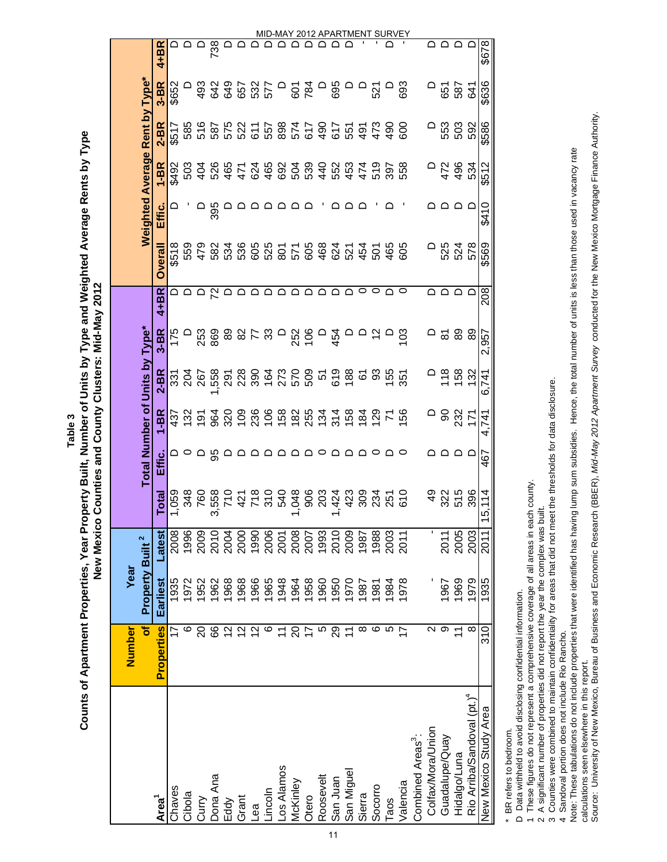|                                        | Number                  | Year                        |        |                   |                                |                  |                   |             |          |                |        |                                |                                                                                                                                                                                                                                                                                   |            |          |
|----------------------------------------|-------------------------|-----------------------------|--------|-------------------|--------------------------------|------------------|-------------------|-------------|----------|----------------|--------|--------------------------------|-----------------------------------------------------------------------------------------------------------------------------------------------------------------------------------------------------------------------------------------------------------------------------------|------------|----------|
|                                        | ৳                       | Property Built <sup>2</sup> |        |                   | Total Number of Units by Type* |                  |                   |             |          |                |        | Weighted Average Rent by Type* |                                                                                                                                                                                                                                                                                   |            |          |
| Area <sup>1</sup>                      | <b>Properties</b>       | Earliest                    | Latest | Total             | ن<br>Hi                        | I-BR             | $2-BR$            | $3 - BR$    | 4+BR     | <b>Overall</b> | Effic. | $1 - BR$                       | 2-BR                                                                                                                                                                                                                                                                              | $3-BR$     | $4+BR$   |
| Chaves                                 |                         | 1935                        | 2008   | 1,059             |                                | $43\overline{ }$ |                   | 175         |          | \$518          |        | <b>\$492</b>                   | \$517                                                                                                                                                                                                                                                                             | \$652      |          |
| Cibola                                 | ဖ                       | 1972                        | 1996   | 348               |                                | 132              | <u>និង</u>        |             |          | 559<br>479     |        | 503                            | 585                                                                                                                                                                                                                                                                               |            |          |
| Curry                                  | $\overline{c}$          | 1952                        | 2009   | 760               |                                |                  | 267               |             |          |                |        | $\frac{40}{4}$                 |                                                                                                                                                                                                                                                                                   |            |          |
| Dona Ana                               | 89                      | 1962                        | 2010   | 558<br>ო          | မ္တ                            |                  | ,558              | 253<br>869  | മമമുമ    |                | 395    | 526                            |                                                                                                                                                                                                                                                                                   |            | 738      |
| Eddy                                   | $\overline{2}$          | 1968                        | 2004   |                   |                                | <b>pagge</b>     |                   |             |          |                |        | 465                            | 587<br>587<br>522                                                                                                                                                                                                                                                                 |            |          |
| Grant                                  | $\overline{\mathbf{C}}$ | 1968                        | 2000   |                   |                                |                  |                   | 8253        |          |                |        | 471                            |                                                                                                                                                                                                                                                                                   |            |          |
| ea                                     | $\frac{2}{3}$           | 1966                        | 1990   | 718               |                                | 236              |                   |             |          |                |        | 624                            |                                                                                                                                                                                                                                                                                   |            |          |
| lncoln                                 | ဖ                       | 1965                        | 2006   | $\frac{540}{540}$ | <b>△</b>                       |                  |                   |             |          |                |        |                                |                                                                                                                                                                                                                                                                                   |            |          |
| -os Alamos                             | $\overline{1}$          | 1948                        | 2001   |                   | ▭                              |                  |                   |             |          |                |        | 465<br>692                     |                                                                                                                                                                                                                                                                                   |            |          |
| McKinley                               | 20                      | 1964                        | 2008   | ,048              | ≏                              |                  |                   |             |          |                |        | 504                            |                                                                                                                                                                                                                                                                                   |            |          |
| Otero                                  | $\overline{1}$          | 1958                        | 2007   | 906               |                                |                  |                   | $-885 - 72$ |          |                |        |                                | $\begin{array}{l} 7.7884700 \\ 2.5884700 \\ 2.598470 \\ 2.598470 \\ 2.598470 \\ 2.598470 \\ 2.598470 \\ 2.598470 \\ 2.598470 \\ 2.598470 \\ 2.598470 \\ 2.598470 \\ 2.598470 \\ 2.598470 \\ 2.598470 \\ 2.598470 \\ 2.598470 \\ 2.598470 \\ 2.598470 \\ 2.598470 \\ 2.598470 \\ $ |            |          |
| Roosevelt                              | 10                      | 1960                        | 1993   | 203               |                                |                  |                   |             |          |                |        |                                |                                                                                                                                                                                                                                                                                   |            |          |
| San Juan<br>11                         | 29                      | 1950                        | 2010   | .424              |                                |                  |                   |             | ○        |                |        | <b>89884458958</b><br>89884458 |                                                                                                                                                                                                                                                                                   | 0 g<br>695 |          |
| San Miguel                             | $\overline{\mathbf{r}}$ | 1970                        | 2009   | 423               |                                |                  |                   |             |          |                |        |                                |                                                                                                                                                                                                                                                                                   |            |          |
| Sierra                                 | ∞                       | 1987                        | 1987   | 309<br>234        |                                |                  | 61                |             | 0        |                |        |                                | 한 <i>수</i> 없                                                                                                                                                                                                                                                                      |            |          |
| Socorro                                | ဖ                       | 1981                        | 1988   |                   |                                | $\frac{29}{2}$   | အိ                | $\tilde{a}$ | 0        |                |        |                                |                                                                                                                                                                                                                                                                                   | 521        |          |
| Taos                                   | 5                       | 1984                        | 2003   | 251               |                                | $\mathcal{L}$    | $\frac{155}{351}$ |             | ≏        |                |        |                                |                                                                                                                                                                                                                                                                                   |            |          |
| Valencia                               | $\overline{1}$          | 1978                        | 2011   | 610               |                                | င်္ဘ             |                   | 103         | 0        | 605            |        | 558                            | 600                                                                                                                                                                                                                                                                               | 693        |          |
| Combined Areas <sup>3</sup> :          |                         |                             |        |                   |                                |                  |                   |             |          |                |        |                                |                                                                                                                                                                                                                                                                                   |            |          |
| Colfax/Mora/Union                      | Z                       |                             |        | ဒ္                |                                |                  |                   | ▭           |          |                |        |                                |                                                                                                                                                                                                                                                                                   |            |          |
| Guadalupe/Quay                         | တ                       | 1967                        | 2011   | 322               |                                | ဓ                | $\frac{8}{10}$    | ಹ ಔ         | ◠        | 525            |        | 472                            | 553                                                                                                                                                                                                                                                                               | 587<br>587 |          |
| Hidalgo/Luna                           | $\overline{1}$          | 1969                        | 2005   | 515               | ם ם                            | 232<br>171       | 158               |             | $\Omega$ | 524            | ם ם    | 496                            | 503                                                                                                                                                                                                                                                                               |            | $\Omega$ |
| Rio Arriba/Sandoval (pt.) <sup>4</sup> | $\infty$                | 1979                        | 2003   | 396               |                                |                  | 132               | 89          | C        | 578            |        | 534                            | 592                                                                                                                                                                                                                                                                               |            |          |
| New Mexico Study Area                  | 310                     | 1935                        | 2011   | 15,114            | 467                            | 4,741            | 6,741             | 2,957       | 208      | \$569          | \$410  | \$512                          | \$586                                                                                                                                                                                                                                                                             | \$636      | \$678    |

Counts of Apartment Properties, Year Property Built, Number of Units by Type and Weighted Average Rents by Type **Counts of Apartment Properties, Year Property Built, Number of Units by Type and Weighted Average Rents by Type** New Mexico Counties and County Clusters: Mid-May 2012 **New Mexico Counties and County Clusters: Mid-May 2012 Table 3**

BR refers to bedroom. \* BR refers to bedroom.  $\overline{\phantom{a}}$ 

D Data withheld to avoid disclosing confidential information. D Data withheld to avoid disclosing confidential information.

1 These figures do not represent a comprehensive coverage of all areas in each county. 1 These figures do not represent a comprehensive coverage of all areas in each county.

2 A significant number of properties did not report the year the complex was built.<br>3 Counties were combined to maintain confidentiality for areas that did not meet the thresholds for data disclosure. 3 Counties were combined to maintain confidentiality for areas that did not meet the thresholds for data disclosure. 2 A significant number of properties did not report the year the complex was built.

4 Sandoval portion does not include Rio Rancho. 4 Sandoval portion does not include Rio Rancho.

Note: These tabulations do not include properties that were identified has having lump sum subsidies. Hence, the total number of units is less than those used in vacancy rate Note: These tabulations do not include properties that were identified has having lump sum subsidies. Hence, the total number of units is less than those used in vacancy rate

Source: University of New Mexico, Bureau of Business and Economic Research (BBER), Mid-May 2012 Apartment Survey conducted for the New Mexico Mortgage Finance Authority. Source: University of New Mexico, Bureau of Business and Economic Research (BBER), *Mid-May 2012 Apartment Survey* conducted for the New Mexico Mortgage Finance Authority. calculations seen elsewhere in this report. calculations seen elsewhere in this report.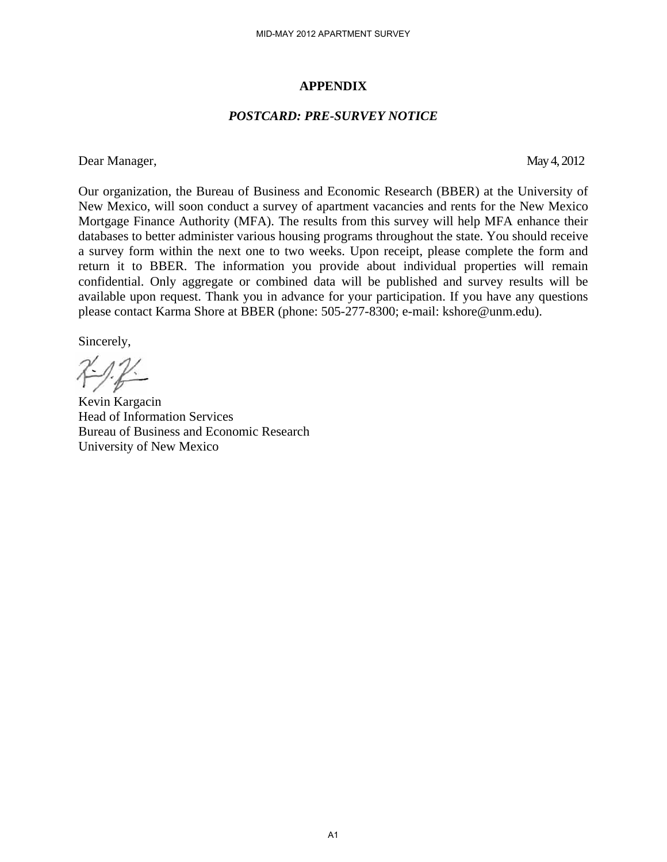#### **APPENDIX**

#### *POSTCARD: PRE-SURVEY NOTICE*

Dear Manager, May 4, 2012

Our organization, the Bureau of Business and Economic Research (BBER) at the University of New Mexico, will soon conduct a survey of apartment vacancies and rents for the New Mexico Mortgage Finance Authority (MFA). The results from this survey will help MFA enhance their databases to better administer various housing programs throughout the state. You should receive a survey form within the next one to two weeks. Upon receipt, please complete the form and return it to BBER. The information you provide about individual properties will remain confidential. Only aggregate or combined data will be published and survey results will be available upon request. Thank you in advance for your participation. If you have any questions please contact Karma Shore at BBER (phone: 505-277-8300; e-mail: kshore@unm.edu). MID-MAY 2012 APARTMENT SURVEY<br> **APPENDIX**<br> **CARD: PRE-SURVEY NOT**<br>
Business and Economic Rese<br>
survey of apartment vacance<br>
(A). The results from this survey on the sum<br>
conshined data will be public combined data will be

Sincerely,

Kevin Kargacin Head of Information Services Bureau of Business and Economic Research University of New Mexico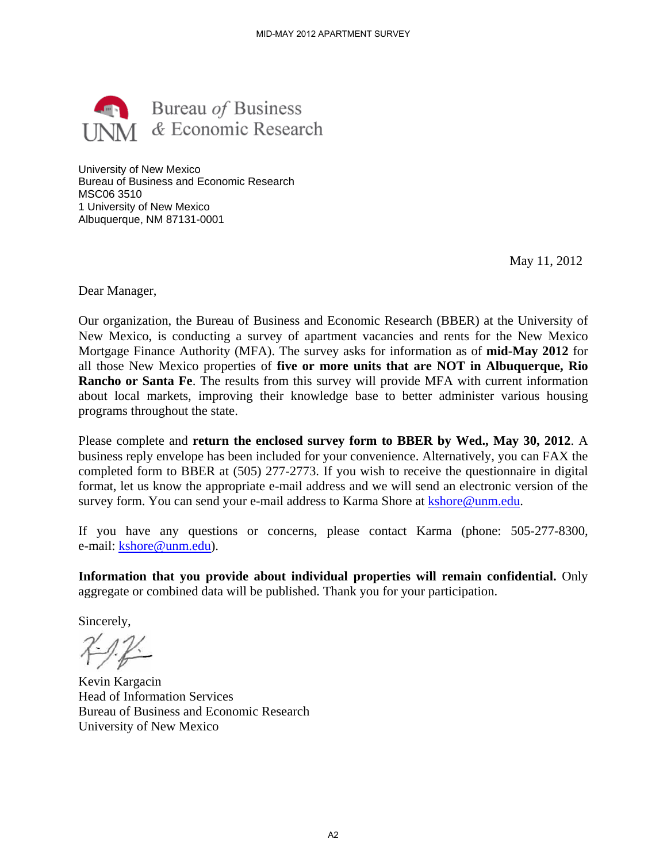

University of New Mexico Bureau of Business and Economic Research MSC06 3510 1 University of New Mexico Albuquerque, NM 87131-0001

May 11, 2012

Dear Manager,

Our organization, the Bureau of Business and Economic Research (BBER) at the University of New Mexico, is conducting a survey of apartment vacancies and rents for the New Mexico Mortgage Finance Authority (MFA). The survey asks for information as of **mid-May 2012** for all those New Mexico properties of **five or more units that are NOT in Albuquerque, Rio Rancho or Santa Fe**. The results from this survey will provide MFA with current information about local markets, improving their knowledge base to better administer various housing programs throughout the state. MID-MAY 2012 APARTMENT SURVEY<br>
SIMESS<br>
SIMESS<br>
Research<br>
Sesearch<br>
Sussiness and Economic Research<br>
A). The survey asks for info<br>
of **five or more units that**<br>
from this survey will provide<br>
their knowledge base to be<br> **en** 

Please complete and **return the enclosed survey form to BBER by Wed., May 30, 2012**. A business reply envelope has been included for your convenience. Alternatively, you can FAX the completed form to BBER at (505) 277-2773. If you wish to receive the questionnaire in digital format, let us know the appropriate e-mail address and we will send an electronic version of the survey form. You can send your e-mail address to Karma Shore at kshore@unm.edu.

If you have any questions or concerns, please contact Karma (phone: 505-277-8300, e-mail: kshore@unm.edu).

**Information that you provide about individual properties will remain confidential.** Only aggregate or combined data will be published. Thank you for your participation.

Sincerely,

Kevin Kargacin Head of Information Services Bureau of Business and Economic Research University of New Mexico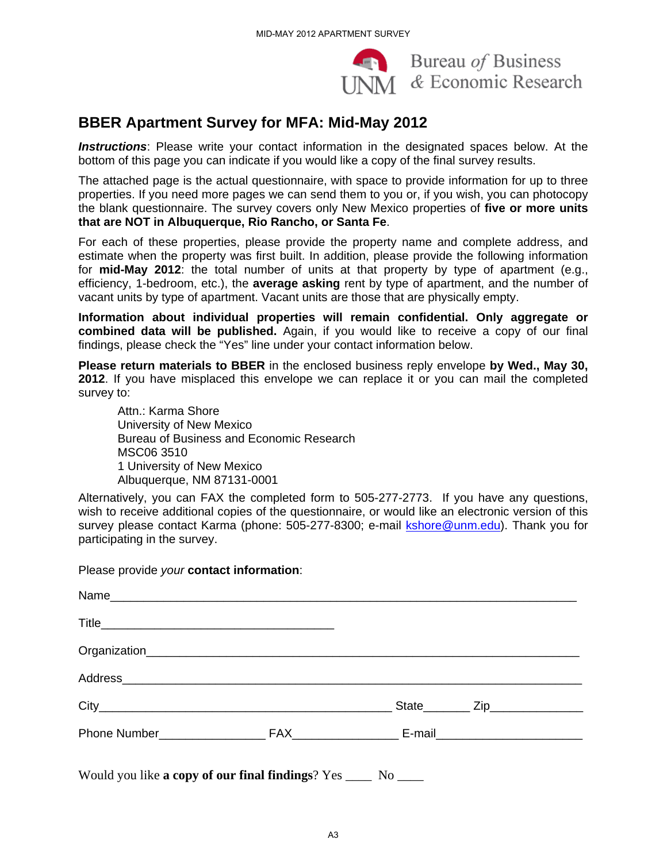

## **BBER Apartment Survey for MFA: Mid-May 2012**

|                                                                                                                          | MID-MAY 2012 APARTMENT SURVEY            |                |                                                                                                                                                                                                                                                                                                                                                                                           |
|--------------------------------------------------------------------------------------------------------------------------|------------------------------------------|----------------|-------------------------------------------------------------------------------------------------------------------------------------------------------------------------------------------------------------------------------------------------------------------------------------------------------------------------------------------------------------------------------------------|
|                                                                                                                          |                                          |                | $\left\langle \mathbf{w} \right\rangle$ Bureau <i>of</i> Business<br>UNM & Economic Research                                                                                                                                                                                                                                                                                              |
| <b>BBER Apartment Survey for MFA: Mid-May 2012</b>                                                                       |                                          |                |                                                                                                                                                                                                                                                                                                                                                                                           |
| bottom of this page you can indicate if you would like a copy of the final survey results.                               |                                          |                | <b>Instructions</b> : Please write your contact information in the designated spaces below. At the                                                                                                                                                                                                                                                                                        |
| that are NOT in Albuquerque, Rio Rancho, or Santa Fe.                                                                    |                                          |                | The attached page is the actual questionnaire, with space to provide information for up to three<br>properties. If you need more pages we can send them to you or, if you wish, you can photocopy<br>the blank questionnaire. The survey covers only New Mexico properties of five or more units                                                                                          |
| vacant units by type of apartment. Vacant units are those that are physically empty.                                     |                                          |                | For each of these properties, please provide the property name and complete address, and<br>estimate when the property was first built. In addition, please provide the following informatior<br>for mid-May 2012: the total number of units at that property by type of apartment (e.g.<br>efficiency, 1-bedroom, etc.), the average asking rent by type of apartment, and the number of |
| findings, please check the "Yes" line under your contact information below.                                              |                                          |                | Information about individual properties will remain confidential. Only aggregate or<br>combined data will be published. Again, if you would like to receive a copy of our fina                                                                                                                                                                                                            |
| survey to:                                                                                                               |                                          |                | Please return materials to BBER in the enclosed business reply envelope by Wed., May 30<br>2012. If you have misplaced this envelope we can replace it or you can mail the completed                                                                                                                                                                                                      |
| Attn.: Karma Shore<br>University of New Mexico<br>MSC06 3510<br>1 University of New Mexico<br>Albuquerque, NM 87131-0001 | Bureau of Business and Economic Research |                |                                                                                                                                                                                                                                                                                                                                                                                           |
| participating in the survey.                                                                                             |                                          |                | Alternatively, you can FAX the completed form to 505-277-2773. If you have any questions<br>wish to receive additional copies of the questionnaire, or would like an electronic version of this<br>survey please contact Karma (phone: 505-277-8300; e-mail <b>kshore@unm.edu</b> ). Thank you foi                                                                                        |
| Please provide your contact information:                                                                                 |                                          |                |                                                                                                                                                                                                                                                                                                                                                                                           |
|                                                                                                                          |                                          |                |                                                                                                                                                                                                                                                                                                                                                                                           |
|                                                                                                                          |                                          |                |                                                                                                                                                                                                                                                                                                                                                                                           |
|                                                                                                                          |                                          |                |                                                                                                                                                                                                                                                                                                                                                                                           |
|                                                                                                                          |                                          |                |                                                                                                                                                                                                                                                                                                                                                                                           |
|                                                                                                                          |                                          |                |                                                                                                                                                                                                                                                                                                                                                                                           |
|                                                                                                                          |                                          |                |                                                                                                                                                                                                                                                                                                                                                                                           |
| Would you like a copy of our final findings? Yes ____ No ____                                                            |                                          | A <sub>3</sub> |                                                                                                                                                                                                                                                                                                                                                                                           |
|                                                                                                                          |                                          |                |                                                                                                                                                                                                                                                                                                                                                                                           |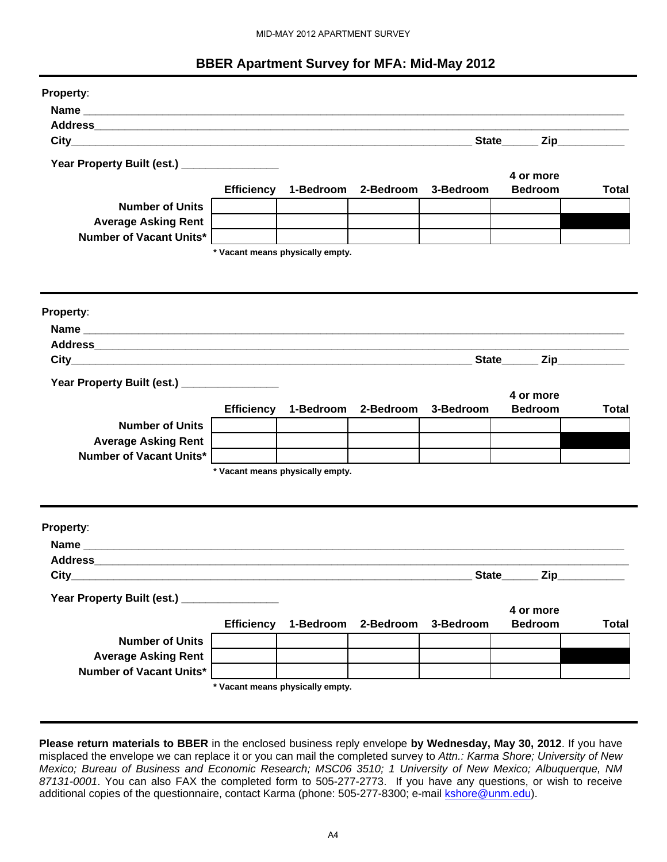#### **BBER Apartment Survey for MFA: Mid-May 2012**

|                                                                                                                                                                                                                             |                   |                                  | <b>BBER Apartment Survey for MFA: Mid-May 2012</b> |           |                        |              |
|-----------------------------------------------------------------------------------------------------------------------------------------------------------------------------------------------------------------------------|-------------------|----------------------------------|----------------------------------------------------|-----------|------------------------|--------------|
| <b>Property:</b>                                                                                                                                                                                                            |                   |                                  |                                                    |           |                        |              |
|                                                                                                                                                                                                                             |                   |                                  |                                                    |           |                        |              |
|                                                                                                                                                                                                                             |                   |                                  |                                                    |           |                        |              |
|                                                                                                                                                                                                                             |                   |                                  |                                                    |           | State Zip              |              |
|                                                                                                                                                                                                                             |                   |                                  |                                                    |           |                        |              |
| Year Property Built (est.) _________________                                                                                                                                                                                |                   |                                  |                                                    |           | 4 or more              |              |
|                                                                                                                                                                                                                             | <b>Efficiency</b> | 1-Bedroom                        | 2-Bedroom                                          | 3-Bedroom | <b>Bedroom</b>         | Total        |
| <b>Number of Units</b>                                                                                                                                                                                                      |                   |                                  |                                                    |           |                        |              |
| <b>Average Asking Rent</b>                                                                                                                                                                                                  |                   |                                  |                                                    |           |                        |              |
| <b>Number of Vacant Units*</b>                                                                                                                                                                                              |                   |                                  |                                                    |           |                        |              |
|                                                                                                                                                                                                                             |                   | * Vacant means physically empty. |                                                    |           |                        |              |
|                                                                                                                                                                                                                             |                   |                                  |                                                    |           |                        |              |
|                                                                                                                                                                                                                             |                   |                                  |                                                    |           |                        |              |
| Property:                                                                                                                                                                                                                   |                   |                                  |                                                    |           |                        |              |
|                                                                                                                                                                                                                             |                   |                                  |                                                    |           |                        |              |
|                                                                                                                                                                                                                             |                   |                                  |                                                    |           |                        |              |
|                                                                                                                                                                                                                             |                   |                                  |                                                    |           | State Zip              |              |
| Year Property Built (est.) _________________                                                                                                                                                                                |                   |                                  |                                                    |           | 4 or more              |              |
|                                                                                                                                                                                                                             | <b>Efficiency</b> | 1-Bedroom                        | 2-Bedroom                                          | 3-Bedroom | <b>Bedroom</b>         | Total        |
| <b>Number of Units</b>                                                                                                                                                                                                      |                   |                                  |                                                    |           |                        |              |
| <b>Average Asking Rent</b>                                                                                                                                                                                                  |                   |                                  |                                                    |           |                        |              |
| Number of Vacant Units*                                                                                                                                                                                                     |                   |                                  |                                                    |           |                        |              |
|                                                                                                                                                                                                                             |                   | * Vacant means physically empty. |                                                    |           |                        |              |
|                                                                                                                                                                                                                             |                   |                                  |                                                    |           |                        |              |
| Property:                                                                                                                                                                                                                   |                   |                                  |                                                    |           |                        |              |
|                                                                                                                                                                                                                             |                   |                                  |                                                    |           |                        |              |
|                                                                                                                                                                                                                             |                   |                                  |                                                    |           |                        |              |
|                                                                                                                                                                                                                             |                   |                                  |                                                    |           | $Zip_$<br><b>State</b> |              |
|                                                                                                                                                                                                                             |                   |                                  |                                                    |           |                        |              |
| Year Property Built (est.) _________________                                                                                                                                                                                |                   |                                  |                                                    |           | 4 or more              |              |
|                                                                                                                                                                                                                             |                   | Efficiency 1-Bedroom             | 2-Bedroom 3-Bedroom                                |           | <b>Bedroom</b>         | <b>Total</b> |
| <b>Number of Units</b>                                                                                                                                                                                                      |                   |                                  |                                                    |           |                        |              |
| <b>Average Asking Rent</b>                                                                                                                                                                                                  |                   |                                  |                                                    |           |                        |              |
| <b>Number of Vacant Units*</b>                                                                                                                                                                                              |                   |                                  |                                                    |           |                        |              |
|                                                                                                                                                                                                                             |                   | * Vacant means physically empty. |                                                    |           |                        |              |
|                                                                                                                                                                                                                             |                   |                                  |                                                    |           |                        |              |
|                                                                                                                                                                                                                             |                   |                                  |                                                    |           |                        |              |
| Please return materials to BBER in the enclosed business reply envelope by Wednesday, May 30, 2012. If you have                                                                                                             |                   |                                  |                                                    |           |                        |              |
| misplaced the envelope we can replace it or you can mail the completed survey to Attn.: Karma Shore; University of New                                                                                                      |                   |                                  |                                                    |           |                        |              |
| Mexico; Bureau of Business and Economic Research; MSC06 3510; 1 University of New Mexico; Albuquerque, NM<br>87131-0001. You can also FAX the completed form to 505-277-2773. If you have any questions, or wish to receive |                   |                                  |                                                    |           |                        |              |
| additional copies of the questionnaire, contact Karma (phone: 505-277-8300; e-mail <i>kshore@unm.edu)</i> .                                                                                                                 |                   |                                  |                                                    |           |                        |              |
|                                                                                                                                                                                                                             |                   |                                  |                                                    |           |                        |              |
|                                                                                                                                                                                                                             |                   |                                  |                                                    |           |                        |              |
|                                                                                                                                                                                                                             |                   | A4                               |                                                    |           |                        |              |